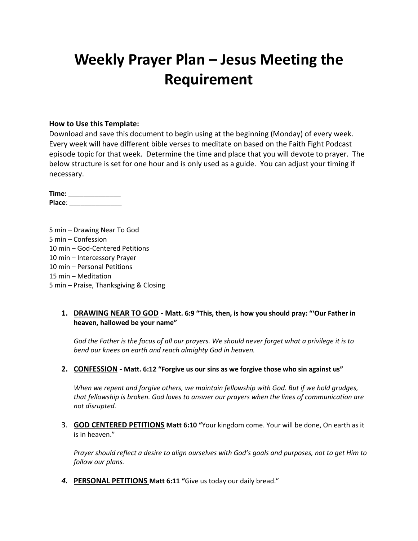# **Weekly Prayer Plan – Jesus Meeting the Requirement**

### **How to Use this Template:**

Download and save this document to begin using at the beginning (Monday) of every week. Every week will have different bible verses to meditate on based on the Faith Fight Podcast episode topic for that week. Determine the time and place that you will devote to prayer. The below structure is set for one hour and is only used as a guide. You can adjust your timing if necessary.

**Time:** \_\_\_\_\_\_\_\_\_\_\_\_\_\_ **Place**: \_\_\_\_\_\_\_\_\_\_\_\_\_\_

5 min – Drawing Near To God 5 min – Confession 10 min – God-Centered Petitions 10 min – Intercessory Prayer 10 min – Personal Petitions 15 min – Meditation 5 min – Praise, Thanksgiving & Closing

## **1. DRAWING NEAR TO GOD - Matt. 6:9 "This, then, is how you should pray: "'Our Father in heaven, hallowed be your name"**

*God the Father is the focus of all our prayers. We should never forget what a privilege it is to bend our knees on earth and reach almighty God in heaven.*

#### **2. CONFESSION - Matt. 6:12 "Forgive us our sins as we forgive those who sin against us"**

*When we repent and forgive others, we maintain fellowship with God. But if we hold grudges, that fellowship is broken. God loves to answer our prayers when the lines of communication are not disrupted.*

3. **GOD CENTERED PETITIONS Matt 6:10 "**Your kingdom come. Your will be done, On earth as it is in heaven."

*Prayer should reflect a desire to align ourselves with God's goals and purposes, not to get Him to follow our plans.*

*4.* **PERSONAL PETITIONS Matt 6:11 "**Give us today our daily bread."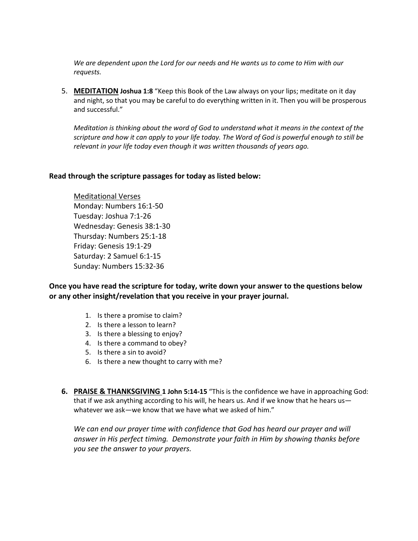*We are dependent upon the Lord for our needs and He wants us to come to Him with our requests.*

5. **MEDITATION Joshua 1:8** "Keep this Book of the Law always on your lips; meditate on it day and night, so that you may be careful to do everything written in it. Then you will be prosperous and successful."

*Meditation is thinking about the word of God to understand what it means in the context of the scripture and how it can apply to your life today. The Word of God is powerful enough to still be relevant in your life today even though it was written thousands of years ago.*

### **Read through the scripture passages for today as listed below:**

Meditational Verses Monday: Numbers 16:1-50 Tuesday: Joshua 7:1-26 Wednesday: Genesis 38:1-30 Thursday: Numbers 25:1-18 Friday: Genesis 19:1-29 Saturday: 2 Samuel 6:1-15 Sunday: Numbers 15:32-36

**Once you have read the scripture for today, write down your answer to the questions below or any other insight/revelation that you receive in your prayer journal.** 

- 1. Is there a promise to claim?
- 2. Is there a lesson to learn?
- 3. Is there a blessing to enjoy?
- 4. Is there a command to obey?
- 5. Is there a sin to avoid?
- 6. Is there a new thought to carry with me?
- **6. PRAISE & THANKSGIVING 1 John 5:14-15** "This is the confidence we have in approaching God: that if we ask anything according to his will, he hears us. And if we know that he hears us whatever we ask—we know that we have what we asked of him."

*We can end our prayer time with confidence that God has heard our prayer and will answer in His perfect timing. Demonstrate your faith in Him by showing thanks before you see the answer to your prayers.*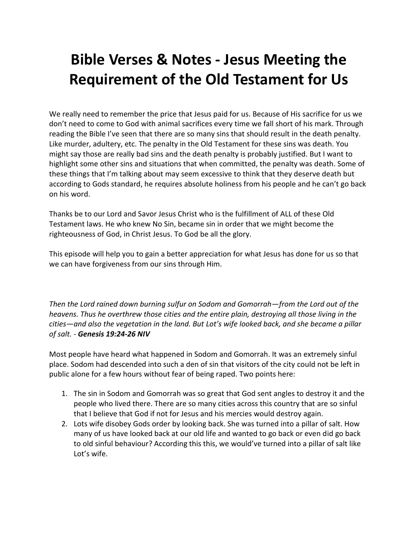# **Bible Verses & Notes - Jesus Meeting the Requirement of the Old Testament for Us**

We really need to remember the price that Jesus paid for us. Because of His sacrifice for us we don't need to come to God with animal sacrifices every time we fall short of his mark. Through reading the Bible I've seen that there are so many sins that should result in the death penalty. Like murder, adultery, etc. The penalty in the Old Testament for these sins was death. You might say those are really bad sins and the death penalty is probably justified. But I want to highlight some other sins and situations that when committed, the penalty was death. Some of these things that I'm talking about may seem excessive to think that they deserve death but according to Gods standard, he requires absolute holiness from his people and he can't go back on his word.

Thanks be to our Lord and Savor Jesus Christ who is the fulfillment of ALL of these Old Testament laws. He who knew No Sin, became sin in order that we might become the righteousness of God, in Christ Jesus. To God be all the glory.

This episode will help you to gain a better appreciation for what Jesus has done for us so that we can have forgiveness from our sins through Him.

*Then the Lord rained down burning sulfur on Sodom and Gomorrah—from the Lord out of the heavens. Thus he overthrew those cities and the entire plain, destroying all those living in the cities—and also the vegetation in the land. But Lot's wife looked back, and she became a pillar of salt. - Genesis 19:24-26 NIV*

Most people have heard what happened in Sodom and Gomorrah. It was an extremely sinful place. Sodom had descended into such a den of sin that visitors of the city could not be left in public alone for a few hours without fear of being raped. Two points here:

- 1. The sin in Sodom and Gomorrah was so great that God sent angles to destroy it and the people who lived there. There are so many cities across this country that are so sinful that I believe that God if not for Jesus and his mercies would destroy again.
- 2. Lots wife disobey Gods order by looking back. She was turned into a pillar of salt. How many of us have looked back at our old life and wanted to go back or even did go back to old sinful behaviour? According this this, we would've turned into a pillar of salt like Lot's wife.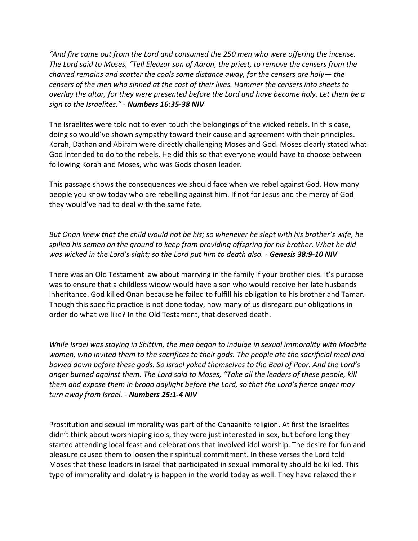*"And fire came out from the Lord and consumed the 250 men who were offering the incense. The Lord said to Moses, "Tell Eleazar son of Aaron, the priest, to remove the censers from the charred remains and scatter the coals some distance away, for the censers are holy— the censers of the men who sinned at the cost of their lives. Hammer the censers into sheets to overlay the altar, for they were presented before the Lord and have become holy. Let them be a sign to the Israelites." - Numbers 16:35-38 NIV*

The Israelites were told not to even touch the belongings of the wicked rebels. In this case, doing so would've shown sympathy toward their cause and agreement with their principles. Korah, Dathan and Abiram were directly challenging Moses and God. Moses clearly stated what God intended to do to the rebels. He did this so that everyone would have to choose between following Korah and Moses, who was Gods chosen leader.

This passage shows the consequences we should face when we rebel against God. How many people you know today who are rebelling against him. If not for Jesus and the mercy of God they would've had to deal with the same fate.

*But Onan knew that the child would not be his; so whenever he slept with his brother's wife, he spilled his semen on the ground to keep from providing offspring for his brother. What he did was wicked in the Lord's sight; so the Lord put him to death also. - Genesis 38:9-10 NIV*

There was an Old Testament law about marrying in the family if your brother dies. It's purpose was to ensure that a childless widow would have a son who would receive her late husbands inheritance. God killed Onan because he failed to fulfill his obligation to his brother and Tamar. Though this specific practice is not done today, how many of us disregard our obligations in order do what we like? In the Old Testament, that deserved death.

*While Israel was staying in Shittim, the men began to indulge in sexual immorality with Moabite women, who invited them to the sacrifices to their gods. The people ate the sacrificial meal and bowed down before these gods. So Israel yoked themselves to the Baal of Peor. And the Lord's anger burned against them. The Lord said to Moses, "Take all the leaders of these people, kill them and expose them in broad daylight before the Lord, so that the Lord's fierce anger may turn away from Israel. - Numbers 25:1-4 NIV*

Prostitution and sexual immorality was part of the Canaanite religion. At first the Israelites didn't think about worshipping idols, they were just interested in sex, but before long they started attending local feast and celebrations that involved idol worship. The desire for fun and pleasure caused them to loosen their spiritual commitment. In these verses the Lord told Moses that these leaders in Israel that participated in sexual immorality should be killed. This type of immorality and idolatry is happen in the world today as well. They have relaxed their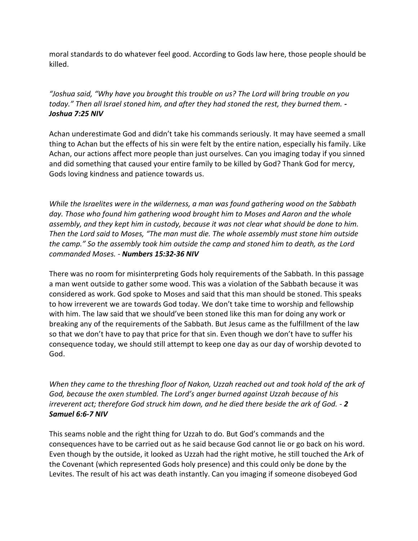moral standards to do whatever feel good. According to Gods law here, those people should be killed.

"Joshua said, "Why have you brought this trouble on us? The Lord will bring trouble on you *today." Then all Israel stoned him, and after they had stoned the rest, they burned them. - Joshua 7:25 NIV*

Achan underestimate God and didn't take his commands seriously. It may have seemed a small thing to Achan but the effects of his sin were felt by the entire nation, especially his family. Like Achan, our actions affect more people than just ourselves. Can you imaging today if you sinned and did something that caused your entire family to be killed by God? Thank God for mercy, Gods loving kindness and patience towards us.

*While the Israelites were in the wilderness, a man was found gathering wood on the Sabbath day. Those who found him gathering wood brought him to Moses and Aaron and the whole assembly, and they kept him in custody, because it was not clear what should be done to him. Then the Lord said to Moses, "The man must die. The whole assembly must stone him outside the camp." So the assembly took him outside the camp and stoned him to death, as the Lord commanded Moses. - Numbers 15:32-36 NIV*

There was no room for misinterpreting Gods holy requirements of the Sabbath. In this passage a man went outside to gather some wood. This was a violation of the Sabbath because it was considered as work. God spoke to Moses and said that this man should be stoned. This speaks to how irreverent we are towards God today. We don't take time to worship and fellowship with him. The law said that we should've been stoned like this man for doing any work or breaking any of the requirements of the Sabbath. But Jesus came as the fulfillment of the law so that we don't have to pay that price for that sin. Even though we don't have to suffer his consequence today, we should still attempt to keep one day as our day of worship devoted to God.

*When they came to the threshing floor of Nakon, Uzzah reached out and took hold of the ark of God, because the oxen stumbled. The Lord's anger burned against Uzzah because of his irreverent act; therefore God struck him down, and he died there beside the ark of God. - 2 Samuel 6:6-7 NIV*

This seams noble and the right thing for Uzzah to do. But God's commands and the consequences have to be carried out as he said because God cannot lie or go back on his word. Even though by the outside, it looked as Uzzah had the right motive, he still touched the Ark of the Covenant (which represented Gods holy presence) and this could only be done by the Levites. The result of his act was death instantly. Can you imaging if someone disobeyed God